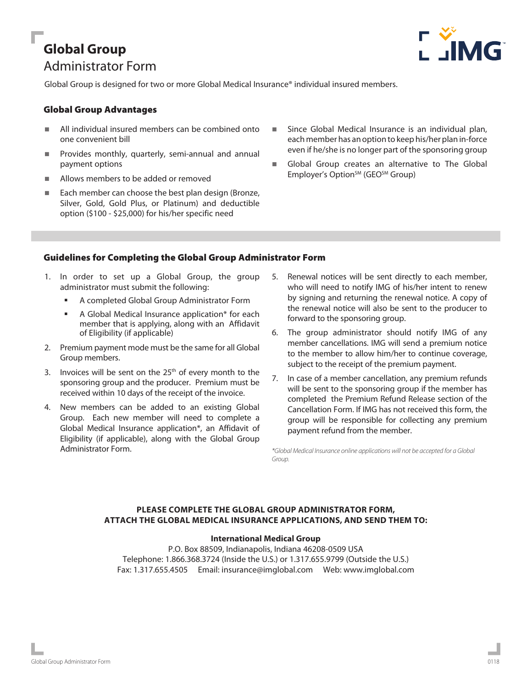# **Global Group** Administrator Form



Global Group is designed for two or more Global Medical Insurance® individual insured members.

# Global Group Advantages

- All individual insured members can be combined onto one convenient bill
- **Provides monthly, quarterly, semi-annual and annual** payment options
- Allows members to be added or removed
- Each member can choose the best plan design (Bronze, Silver, Gold, Gold Plus, or Platinum) and deductible option (\$100 - \$25,000) for his/her specific need
- Since Global Medical Insurance is an individual plan, each member has an option to keep his/her plan in-force even if he/she is no longer part of the sponsoring group
- Global Group creates an alternative to The Global Employer's Option<sup>SM</sup> (GEO<sup>SM</sup> Group)

# Guidelines for Completing the Global Group Administrator Form

- 1. In order to set up a Global Group, the group administrator must submit the following:
	- A completed Global Group Administrator Form
	- A Global Medical Insurance application\* for each member that is applying, along with an Affidavit of Eligibility (if applicable)
- 2. Premium payment mode must be the same for all Global Group members.
- 3. Invoices will be sent on the  $25<sup>th</sup>$  of every month to the sponsoring group and the producer. Premium must be received within 10 days of the receipt of the invoice.
- 4. New members can be added to an existing Global Group. Each new member will need to complete a Global Medical Insurance application\*, an Affidavit of Eligibility (if applicable), along with the Global Group Administrator Form.
- 5. Renewal notices will be sent directly to each member, who will need to notify IMG of his/her intent to renew by signing and returning the renewal notice. A copy of the renewal notice will also be sent to the producer to forward to the sponsoring group.
- 6. The group administrator should notify IMG of any member cancellations. IMG will send a premium notice to the member to allow him/her to continue coverage, subject to the receipt of the premium payment.
- 7. In case of a member cancellation, any premium refunds will be sent to the sponsoring group if the member has completed the Premium Refund Release section of the Cancellation Form. If IMG has not received this form, the group will be responsible for collecting any premium payment refund from the member.

*\*Global Medical Insurance online applications will not be accepted for a Global Group.*

# **PLEASE COMPLETE THE GLOBAL GROUP ADMINISTRATOR FORM, ATTACH THE GLOBAL MEDICAL INSURANCE APPLICATIONS, AND SEND THEM TO:**

## **International Medical Group**

P.O. Box 88509, Indianapolis, Indiana 46208-0509 USA Telephone: 1.866.368.3724 (Inside the U.S.) or 1.317.655.9799 (Outside the U.S.) Fax: 1.317.655.4505 Email: insurance@imglobal.com Web: www.imglobal.com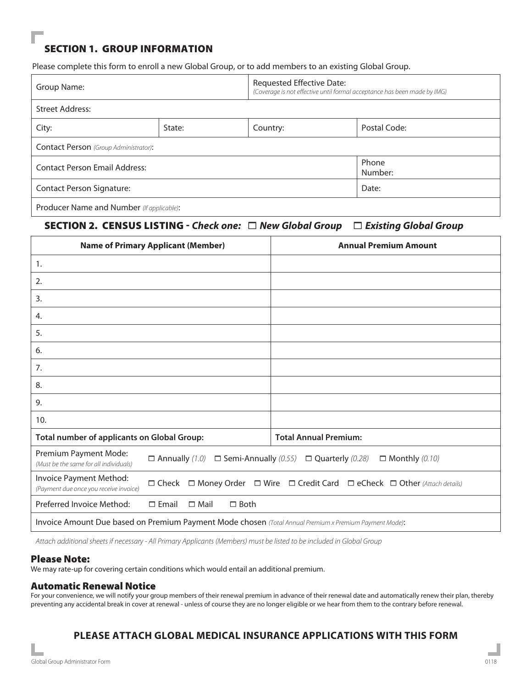# SECTION 1. GROUP INFORMATION

Please complete this form to enroll a new Global Group, or to add members to an existing Global Group.

| Group Name:                                  |        | Requested Effective Date:<br>(Coverage is not effective until formal acceptance has been made by IMG) |              |  |  |
|----------------------------------------------|--------|-------------------------------------------------------------------------------------------------------|--------------|--|--|
| <b>Street Address:</b>                       |        |                                                                                                       |              |  |  |
| City:                                        | State: | Country:                                                                                              | Postal Code: |  |  |
| <b>Contact Person</b> (Group Administrator): |        |                                                                                                       |              |  |  |
| <b>Contact Person Email Address:</b>         |        | Phone<br>Number:                                                                                      |              |  |  |
| <b>Contact Person Signature:</b>             |        | Date:                                                                                                 |              |  |  |
| Producer Name and Number (If applicable):    |        |                                                                                                       |              |  |  |

# SECTION 2. CENSUS LISTING - *Check one:* 1 *New Global Group* 1 *Existing Global Group*

|                                                                                                        | <b>Name of Primary Applicant (Member)</b>                                                                     | <b>Annual Premium Amount</b> |  |  |
|--------------------------------------------------------------------------------------------------------|---------------------------------------------------------------------------------------------------------------|------------------------------|--|--|
| 1.                                                                                                     |                                                                                                               |                              |  |  |
| 2.                                                                                                     |                                                                                                               |                              |  |  |
| 3.                                                                                                     |                                                                                                               |                              |  |  |
| 4.                                                                                                     |                                                                                                               |                              |  |  |
| 5.                                                                                                     |                                                                                                               |                              |  |  |
| 6.                                                                                                     |                                                                                                               |                              |  |  |
| 7.                                                                                                     |                                                                                                               |                              |  |  |
| 8.                                                                                                     |                                                                                                               |                              |  |  |
| 9.                                                                                                     |                                                                                                               |                              |  |  |
| 10.                                                                                                    |                                                                                                               |                              |  |  |
| <b>Total number of applicants on Global Group:</b>                                                     |                                                                                                               | <b>Total Annual Premium:</b> |  |  |
| Premium Payment Mode:<br>(Must be the same for all individuals)                                        | $\Box$ Annually (1.0) $\Box$ Semi-Annually (0.55)<br>$\Box$ Monthly (0.10)<br>$\Box$ Quarterly (0.28)         |                              |  |  |
| Invoice Payment Method:<br>(Payment due once you receive invoice)                                      | $\Box$ Money Order $\Box$ Wire $\Box$ Credit Card $\Box$ eCheck $\Box$ Other (Attach details)<br>$\Box$ Check |                              |  |  |
| Preferred Invoice Method:                                                                              | $\Box$ Email<br>$\Box$ Mail<br>$\Box$ Both                                                                    |                              |  |  |
| Invoice Amount Due based on Premium Payment Mode chosen (Total Annual Premium x Premium Payment Mode): |                                                                                                               |                              |  |  |

*Attach additional sheets if necessary - All Primary Applicants (Members) must be listed to be included in Global Group* 

#### Please Note:

We may rate-up for covering certain conditions which would entail an additional premium.

#### Automatic Renewal Notice

For your convenience, we will notify your group members of their renewal premium in advance of their renewal date and automatically renew their plan, thereby preventing any accidental break in cover at renewal - unless of course they are no longer eligible or we hear from them to the contrary before renewal.

# **PLEASE ATTACH GLOBAL MEDICAL INSURANCE APPLICATIONS WITH THIS FORM**